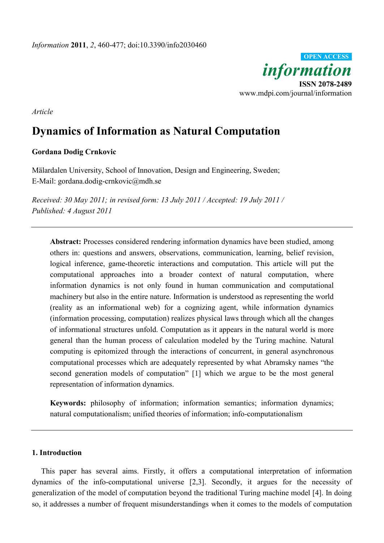

*Article*

# **Dynamics of Information as Natural Computation**

## **Gordana Dodig Crnkovic**

Mälardalen University, School of Innovation, Design and Engineering, Sweden; E-Mail: gordana.dodig-crnkovic@mdh.se

*Received: 30 May 2011; in revised form: 13 July 2011 / Accepted: 19 July 2011 / Published: 4 August 2011*

**Abstract:** Processes considered rendering information dynamics have been studied, among others in: questions and answers, observations, communication, learning, belief revision, logical inference, game-theoretic interactions and computation. This article will put the computational approaches into a broader context of natural computation, where information dynamics is not only found in human communication and computational machinery but also in the entire nature. Information is understood as representing the world (reality as an informational web) for a cognizing agent, while information dynamics (information processing, computation) realizes physical laws through which all the changes of informational structures unfold. Computation as it appears in the natural world is more general than the human process of calculation modeled by the Turing machine. Natural computing is epitomized through the interactions of concurrent, in general asynchronous computational processes which are adequately represented by what Abramsky names "the second generation models of computation" [1] which we argue to be the most general representation of information dynamics.

**Keywords:** philosophy of information; information semantics; information dynamics; natural computationalism; unified theories of information; info-computationalism

## **1. Introduction**

This paper has several aims. Firstly, it offers a computational interpretation of information dynamics of the info-computational universe [2,3]. Secondly, it argues for the necessity of generalization of the model of computation beyond the traditional Turing machine model [4]. In doing so, it addresses a number of frequent misunderstandings when it comes to the models of computation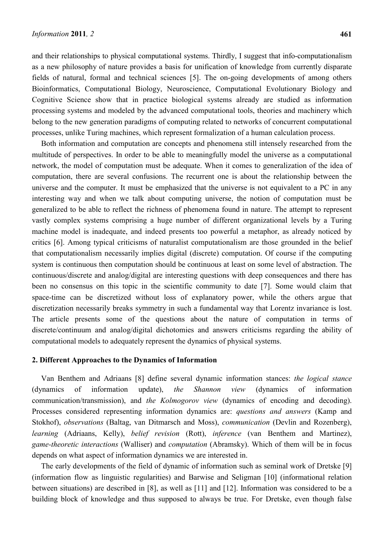and their relationships to physical computational systems. Thirdly, I suggest that info-computationalism as a new philosophy of nature provides a basis for unification of knowledge from currently disparate fields of natural, formal and technical sciences [5]. The on-going developments of among others Bioinformatics, Computational Biology, Neuroscience, Computational Evolutionary Biology and Cognitive Science show that in practice biological systems already are studied as information processing systems and modeled by the advanced computational tools, theories and machinery which belong to the new generation paradigms of computing related to networks of concurrent computational processes, unlike Turing machines, which represent formalization of a human calculation process.

Both information and computation are concepts and phenomena still intensely researched from the multitude of perspectives. In order to be able to meaningfully model the universe as a computational network, the model of computation must be adequate. When it comes to generalization of the idea of computation, there are several confusions. The recurrent one is about the relationship between the universe and the computer. It must be emphasized that the universe is not equivalent to a PC in any interesting way and when we talk about computing universe, the notion of computation must be generalized to be able to reflect the richness of phenomena found in nature. The attempt to represent vastly complex systems comprising a huge number of different organizational levels by a Turing machine model is inadequate, and indeed presents too powerful a metaphor, as already noticed by critics [6]. Among typical criticisms of naturalist computationalism are those grounded in the belief that computationalism necessarily implies digital (discrete) computation. Of course if the computing system is continuous then computation should be continuous at least on some level of abstraction. The continuous/discrete and analog/digital are interesting questions with deep consequences and there has been no consensus on this topic in the scientific community to date [7]. Some would claim that space-time can be discretized without loss of explanatory power, while the others argue that discretization necessarily breaks symmetry in such a fundamental way that Lorentz invariance is lost. The article presents some of the questions about the nature of computation in terms of discrete/continuum and analog/digital dichotomies and answers criticisms regarding the ability of computational models to adequately represent the dynamics of physical systems.

## **2. Different Approaches to the Dynamics of Information**

Van Benthem and Adriaans [8] define several dynamic information stances: *the logical stance* (dynamics of information update), *the Shannon view* (dynamics of information communication/transmission), and *the Kolmogorov view* (dynamics of encoding and decoding). Processes considered representing information dynamics are: *questions and answers* (Kamp and Stokhof), *observations* (Baltag, van Ditmarsch and Moss), *communication* (Devlin and Rozenberg), *learning* (Adriaans, Kelly), *belief revision* (Rott), *inference* (van Benthem and Martinez), *game-theoretic interactions* (Walliser) and *computation* (Abramsky). Which of them will be in focus depends on what aspect of information dynamics we are interested in.

The early developments of the field of dynamic of information such as seminal work of Dretske [9] (information flow as linguistic regularities) and Barwise and Seligman [10] (informational relation between situations) are described in [8], as well as [11] and [12]. Information was considered to be a building block of knowledge and thus supposed to always be true. For Dretske, even though false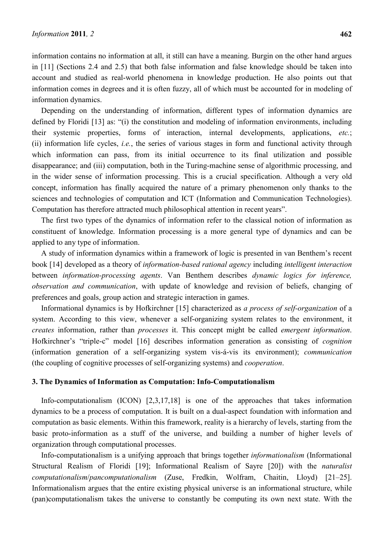information contains no information at all, it still can have a meaning. Burgin on the other hand argues in [11] (Sections 2.4 and 2.5) that both false information and false knowledge should be taken into account and studied as real-world phenomena in knowledge production. He also points out that information comes in degrees and it is often fuzzy, all of which must be accounted for in modeling of information dynamics.

Depending on the understanding of information, different types of information dynamics are defined by Floridi [13] as: "(i) the constitution and modeling of information environments, including their systemic properties, forms of interaction, internal developments, applications, *etc.*; (ii) information life cycles, *i.e.*, the series of various stages in form and functional activity through which information can pass, from its initial occurrence to its final utilization and possible disappearance; and (iii) computation, both in the Turing-machine sense of algorithmic processing, and in the wider sense of information processing. This is a crucial specification. Although a very old concept, information has finally acquired the nature of a primary phenomenon only thanks to the sciences and technologies of computation and ICT (Information and Communication Technologies). Computation has therefore attracted much philosophical attention in recent years".

The first two types of the dynamics of information refer to the classical notion of information as constituent of knowledge. Information processing is a more general type of dynamics and can be applied to any type of information.

A study of information dynamics within a framework of logic is presented in van Benthem's recent book [14] developed as a theory of *information-based rational agency* including *intelligent interaction* between *information-processing agents*. Van Benthem describes *dynamic logics for inference, observation and communication*, with update of knowledge and revision of beliefs, changing of preferences and goals, group action and strategic interaction in games.

Informational dynamics is by Hofkirchner [15] characterized as *a process of self-organization* of a system. According to this view, whenever a self-organizing system relates to the environment, it *creates* information, rather than *processes* it. This concept might be called *emergent information*. Hofkirchner's "triple-c" model [16] describes information generation as consisting of *cognition* (information generation of a self-organizing system vis-á-vis its environment); *communication* (the coupling of cognitive processes of self-organizing systems) and *cooperation*.

## **3. The Dynamics of Information as Computation: Info-Computationalism**

Info-computationalism (ICON) [2,3,17,18] is one of the approaches that takes information dynamics to be a process of computation. It is built on a dual-aspect foundation with information and computation as basic elements. Within this framework, reality is a hierarchy of levels, starting from the basic proto-information as a stuff of the universe, and building a number of higher levels of organization through computational processes.

Info-computationalism is a unifying approach that brings together *informationalism* (Informational Structural Realism of Floridi [19]; Informational Realism of Sayre [20]) with the *naturalist computationalism*/*pancomputationalism* (Zuse, Fredkin, Wolfram, Chaitin, Lloyd) [21–25]. Informationalism argues that the entire existing physical universe is an informational structure, while (pan)computationalism takes the universe to constantly be computing its own next state. With the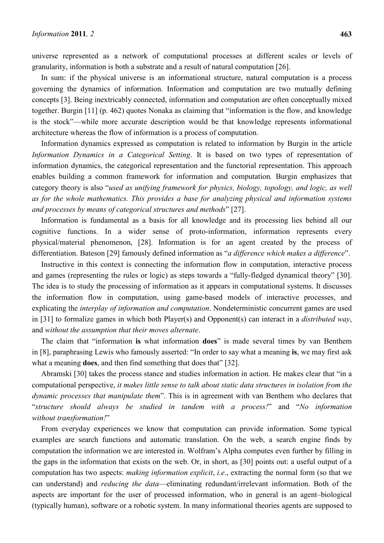universe represented as a network of computational processes at different scales or levels of granularity, information is both a substrate and a result of natural computation [26].

In sum: if the physical universe is an informational structure, natural computation is a process governing the dynamics of information. Information and computation are two mutually defining concepts [3]. Being inextricably connected, information and computation are often conceptually mixed together. Burgin [11] (p. 462) quotes Nonaka as claiming that "information is the flow, and knowledge is the stock"—while more accurate description would be that knowledge represents informational architecture whereas the flow of information is a process of computation.

Information dynamics expressed as computation is related to information by Burgin in the article *Information Dynamics in a Categorical Setting*. It is based on two types of representation of information dynamics, the categorical representation and the functorial representation. This approach enables building a common framework for information and computation*.* Burgin emphasizes that category theory is also "*used as unifying framework for physics, biology, topology, and logic, as well as for the whole mathematics. This provides a base for analyzing physical and information systems and processes by means of categorical structures and methods*" [27].

Information is fundamental as a basis for all knowledge and its processing lies behind all our cognitive functions. In a wider sense of proto-information, information represents every physical/material phenomenon, [28]. Information is for an agent created by the process of differentiation. Bateson [29] famously defined information as "*a difference which makes a difference*".

Instructive in this context is connecting the information flow in computation, interactive process and games (representing the rules or logic) as steps towards a "fully-fledged dynamical theory" [30]. The idea is to study the processing of information as it appears in computational systems. It discusses the information flow in computation, using game-based models of interactive processes, and explicating the *interplay of information and computation*. Nondeterministic concurrent games are used in [31] to formalize games in which both Player(s) and Opponent(s) can interact in a *distributed way*, and *without the assumption that their moves alternate*.

The claim that "information **is** what information **does**" is made several times by van Benthem in [8], paraphrasing Lewis who famously asserted: "In order to say what a meaning **is**, we may first ask what a meaning **does**, and then find something that does that" [32].

Abramski [30] takes the process stance and studies information in action. He makes clear that "in a computational perspective, *it makes little sense to talk about static data structures in isolation from the dynamic processes that manipulate them*". This is in agreement with van Benthem who declares that "*structure should always be studied in tandem with a process!*" and "*No information without transformation!*"

From everyday experiences we know that computation can provide information. Some typical examples are search functions and automatic translation. On the web, a search engine finds by computation the information we are interested in. Wolfram's Alpha computes even further by filling in the gaps in the information that exists on the web. Or, in short, as [30] points out: a useful output of a computation has two aspects: *making information explicit*, *i.e*., extracting the normal form (so that we can understand) and *reducing the data*—eliminating redundant/irrelevant information. Both of the aspects are important for the user of processed information, who in general is an agent–biological (typically human), software or a robotic system. In many informational theories agents are supposed to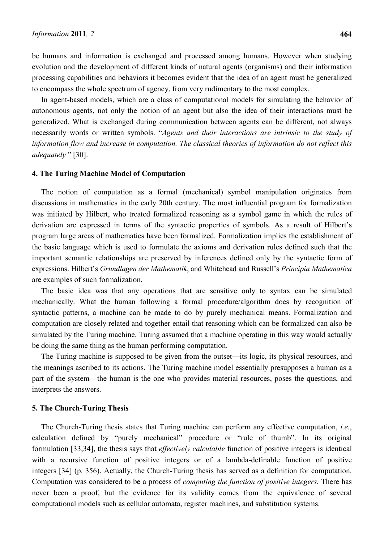be humans and information is exchanged and processed among humans. However when studying evolution and the development of different kinds of natural agents (organisms) and their information processing capabilities and behaviors it becomes evident that the idea of an agent must be generalized to encompass the whole spectrum of agency, from very rudimentary to the most complex.

In agent-based models, which are a class of computational models for simulating the behavior of autonomous agents, not only the notion of an agent but also the idea of their interactions must be generalized. What is exchanged during communication between agents can be different, not always necessarily words or written symbols. "*Agents and their interactions are intrinsic to the study of information flow and increase in computation. The classical theories of information do not reflect this adequately* " [30].

#### **4. The Turing Machine Model of Computation**

The notion of computation as a formal (mechanical) symbol manipulation originates from discussions in mathematics in the early 20th century. The most influential program for formalization was initiated by Hilbert, who treated formalized reasoning as a symbol game in which the rules of derivation are expressed in terms of the syntactic properties of symbols. As a result of Hilbert's program large areas of mathematics have been formalized. Formalization implies the establishment of the basic language which is used to formulate the axioms and derivation rules defined such that the important semantic relationships are preserved by inferences defined only by the syntactic form of expressions. Hilbert's *Grundlagen der Mathematik*, and Whitehead and Russell's *Principia Mathematica* are examples of such formalization.

The basic idea was that any operations that are sensitive only to syntax can be simulated mechanically. What the human following a formal procedure/algorithm does by recognition of syntactic patterns, a machine can be made to do by purely mechanical means. Formalization and computation are closely related and together entail that reasoning which can be formalized can also be simulated by the Turing machine. Turing assumed that a machine operating in this way would actually be doing the same thing as the human performing computation.

The Turing machine is supposed to be given from the outset—its logic, its physical resources, and the meanings ascribed to its actions. The Turing machine model essentially presupposes a human as a part of the system—the human is the one who provides material resources, poses the questions, and interprets the answers.

#### **5. The Church-Turing Thesis**

The Church-Turing thesis states that Turing machine can perform any effective computation, *i.e.*, calculation defined by "purely mechanical" procedure or "rule of thumb". In its original formulation [33,34], the thesis says that *effectively calculable* function of positive integers is identical with a recursive function of positive integers or of a lambda-definable function of positive integers [34] (p. 356). Actually, the Church-Turing thesis has served as a definition for computation. Computation was considered to be a process of *computing the function of positive integers.* There has never been a proof, but the evidence for its validity comes from the equivalence of several computational models such as cellular automata, register machines, and substitution systems.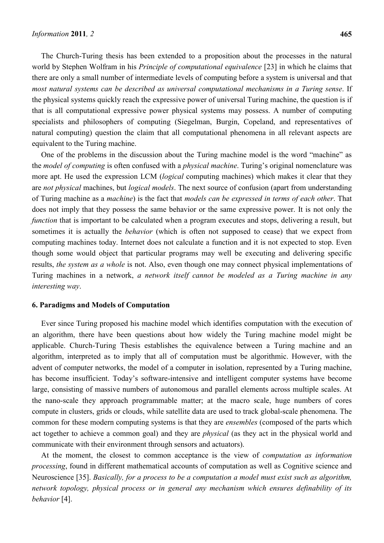The Church-Turing thesis has been extended to a proposition about the processes in the natural world by Stephen Wolfram in his *Principle of computational equivalence* [23] in which he claims that there are only a small number of intermediate levels of computing before a system is universal and that *most natural systems can be described as universal computational mechanisms in a Turing sense*. If the physical systems quickly reach the expressive power of universal Turing machine, the question is if that is all computational expressive power physical systems may possess. A number of computing specialists and philosophers of computing (Siegelman, Burgin, Copeland, and representatives of natural computing) question the claim that all computational phenomena in all relevant aspects are equivalent to the Turing machine.

One of the problems in the discussion about the Turing machine model is the word "machine" as the *model of computing* is often confused with a *physical machine*. Turing's original nomenclature was more apt. He used the expression LCM (*logical* computing machines) which makes it clear that they are *not physical* machines, but *logical models*. The next source of confusion (apart from understanding of Turing machine as a *machine*) is the fact that *models can be expressed in terms of each other*. That does not imply that they possess the same behavior or the same expressive power. It is not only the *function* that is important to be calculated when a program executes and stops, delivering a result, but sometimes it is actually the *behavior* (which is often not supposed to cease) that we expect from computing machines today. Internet does not calculate a function and it is not expected to stop. Even though some would object that particular programs may well be executing and delivering specific results, *the system as a whole* is not. Also, even though one may connect physical implementations of Turing machines in a network, *a network itself cannot be modeled as a Turing machine in any interesting way*.

## **6. Paradigms and Models of Computation**

Ever since Turing proposed his machine model which identifies computation with the execution of an algorithm, there have been questions about how widely the Turing machine model might be applicable. Church-Turing Thesis establishes the equivalence between a Turing machine and an algorithm, interpreted as to imply that all of computation must be algorithmic. However, with the advent of computer networks, the model of a computer in isolation, represented by a Turing machine, has become insufficient. Today's software-intensive and intelligent computer systems have become large, consisting of massive numbers of autonomous and parallel elements across multiple scales. At the nano-scale they approach programmable matter; at the macro scale, huge numbers of cores compute in clusters, grids or clouds, while satellite data are used to track global-scale phenomena. The common for these modern computing systems is that they are *ensembles* (composed of the parts which act together to achieve a common goal) and they are *physical* (as they act in the physical world and communicate with their environment through sensors and actuators).

At the moment, the closest to common acceptance is the view of *computation as information processing*, found in different mathematical accounts of computation as well as Cognitive science and Neuroscience [35]. *Basically, for a process to be a computation a model must exist such as algorithm, network topology, physical process or in general any mechanism which ensures definability of its behavior* [4].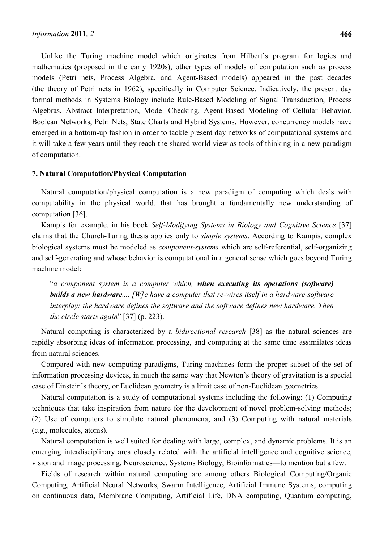Unlike the Turing machine model which originates from Hilbert's program for logics and mathematics (proposed in the early 1920s), other types of models of computation such as process models (Petri nets, Process Algebra, and Agent-Based models) appeared in the past decades (the theory of Petri nets in 1962), specifically in Computer Science. Indicatively, the present day formal methods in Systems Biology include Rule-Based Modeling of Signal Transduction, Process Algebras, Abstract Interpretation, Model Checking, Agent-Based Modeling of Cellular Behavior, Boolean Networks, Petri Nets, State Charts and Hybrid Systems. However, concurrency models have emerged in a bottom-up fashion in order to tackle present day networks of computational systems and it will take a few years until they reach the shared world view as tools of thinking in a new paradigm of computation.

#### **7. Natural Computation/Physical Computation**

Natural computation/physical computation is a new paradigm of computing which deals with computability in the physical world, that has brought a fundamentally new understanding of computation [36].

Kampis for example, in his book *Self-Modifying Systems in Biology and Cognitive Science* [37] claims that the Church-Turing thesis applies only to *simple systems*. According to Kampis, complex biological systems must be modeled as *component-systems* which are self-referential, self-organizing and self-generating and whose behavior is computational in a general sense which goes beyond Turing machine model:

"*a component system is a computer which, when executing its operations (software) builds a new hardware.... [W]e have a computer that re-wires itself in a hardware-software interplay: the hardware defines the software and the software defines new hardware. Then the circle starts again*" [37] (p. 223).

Natural computing is characterized by a *bidirectional research* [38] as the natural sciences are rapidly absorbing ideas of information processing, and computing at the same time assimilates ideas from natural sciences.

Compared with new computing paradigms, Turing machines form the proper subset of the set of information processing devices, in much the same way that Newton's theory of gravitation is a special case of Einstein's theory, or Euclidean geometry is a limit case of non-Euclidean geometries.

Natural computation is a study of computational systems including the following: (1) Computing techniques that take inspiration from nature for the development of novel problem-solving methods; (2) Use of computers to simulate natural phenomena; and (3) Computing with natural materials (e.g., molecules, atoms).

Natural computation is well suited for dealing with large, complex, and dynamic problems. It is an emerging interdisciplinary area closely related with the artificial intelligence and cognitive science, vision and image processing, Neuroscience, Systems Biology, Bioinformatics—to mention but a few.

Fields of research within natural computing are among others Biological Computing/Organic Computing, Artificial Neural Networks, Swarm Intelligence, Artificial Immune Systems, computing on continuous data, Membrane Computing, Artificial Life, DNA computing, Quantum computing,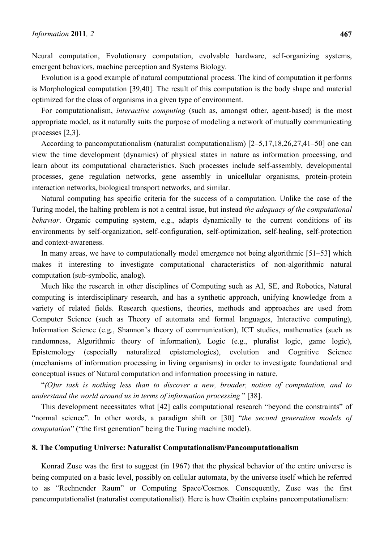## *Information* **2011***, 2* **467**

Neural computation, Evolutionary computation, evolvable hardware, self-organizing systems, emergent behaviors, machine perception and Systems Biology.

Evolution is a good example of natural computational process. The kind of computation it performs is Morphological computation [39,40]. The result of this computation is the body shape and material optimized for the class of organisms in a given type of environment.

For computationalism, *interactive computing* (such as, amongst other, agent-based) is the most appropriate model, as it naturally suits the purpose of modeling a network of mutually communicating processes [2,3].

According to pancomputationalism (naturalist computationalism) [2–5,17,18,26,27,41–50] one can view the time development (dynamics) of physical states in nature as information processing, and learn about its computational characteristics. Such processes include self-assembly, developmental processes, gene regulation networks, gene assembly in unicellular organisms, protein-protein interaction networks, biological transport networks, and similar.

Natural computing has specific criteria for the success of a computation. Unlike the case of the Turing model, the halting problem is not a central issue, but instead *the adequacy of the computational behavior*. Organic computing system, e.g., adapts dynamically to the current conditions of its environments by self-organization, self-configuration, self-optimization, self-healing, self-protection and context-awareness.

In many areas, we have to computationally model emergence not being algorithmic [51–53] which makes it interesting to investigate computational characteristics of non-algorithmic natural computation (sub-symbolic, analog).

Much like the research in other disciplines of Computing such as AI, SE, and Robotics, Natural computing is interdisciplinary research, and has a synthetic approach, unifying knowledge from a variety of related fields. Research questions, theories, methods and approaches are used from Computer Science (such as Theory of automata and formal languages, Interactive computing), Information Science (e.g., Shannon's theory of communication), ICT studies, mathematics (such as randomness, Algorithmic theory of information), Logic (e.g., pluralist logic, game logic), Epistemology (especially naturalized epistemologies), evolution and Cognitive Science (mechanisms of information processing in living organisms) in order to investigate foundational and conceptual issues of Natural computation and information processing in nature.

"*(O)ur task is nothing less than to discover a new, broader, notion of computation, and to understand the world around us in terms of information processing* " [38].

This development necessitates what [42] calls computational research "beyond the constraints" of "normal science". In other words, a paradigm shift or [30] "*the second generation models of computation*" ("the first generation" being the Turing machine model).

## **8. The Computing Universe: Naturalist Computationalism/Pancomputationalism**

Konrad Zuse was the first to suggest (in 1967) that the physical behavior of the entire universe is being computed on a basic level, possibly on cellular automata, by the universe itself which he referred to as "Rechnender Raum" or Computing Space/Cosmos. Consequently, Zuse was the first pancomputationalist (naturalist computationalist). Here is how Chaitin explains pancomputationalism: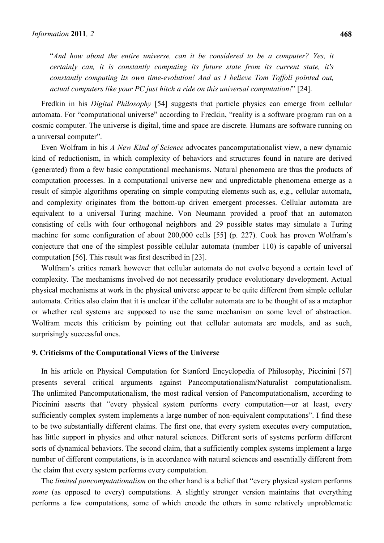"*And how about the entire universe, can it be considered to be a computer? Yes, it certainly can, it is constantly computing its future state from its current state, it's constantly computing its own time-evolution! And as I believe Tom Toffoli pointed out, actual computers like your PC just hitch a ride on this universal computation!*" [24].

Fredkin in his *Digital Philosophy* [54] suggests that particle physics can emerge from cellular automata. For "computational universe" according to Fredkin, "reality is a software program run on a cosmic computer. The universe is digital, time and space are discrete. Humans are software running on a universal computer".

Even Wolfram in his *A New Kind of Science* advocates pancomputationalist view, a new dynamic kind of reductionism, in which complexity of behaviors and structures found in nature are derived (generated) from a few basic computational mechanisms. Natural phenomena are thus the products of computation processes. In a computational universe new and unpredictable phenomena emerge as a result of simple algorithms operating on simple computing elements such as, e.g., cellular automata, and complexity originates from the bottom-up driven emergent processes. Cellular automata are equivalent to a universal Turing machine. Von Neumann provided a proof that an automaton consisting of cells with four orthogonal neighbors and 29 possible states may simulate a Turing machine for some configuration of about 200,000 cells [55] (p. 227). Cook has proven Wolfram's conjecture that one of the simplest possible cellular automata (number 110) is capable of universal computation [56]. This result was first described in [23].

Wolfram's critics remark however that cellular automata do not evolve beyond a certain level of complexity. The mechanisms involved do not necessarily produce evolutionary development. Actual physical mechanisms at work in the physical universe appear to be quite different from simple cellular automata. Critics also claim that it is unclear if the cellular automata are to be thought of as a metaphor or whether real systems are supposed to use the same mechanism on some level of abstraction. Wolfram meets this criticism by pointing out that cellular automata are models, and as such, surprisingly successful ones.

#### **9. Criticisms of the Computational Views of the Universe**

In his article on Physical Computation for Stanford Encyclopedia of Philosophy, Piccinini [57] presents several critical arguments against Pancomputationalism/Naturalist computationalism. The unlimited Pancomputationalism, the most radical version of Pancomputationalism, according to Piccinini asserts that "every physical system performs every computation—or at least, every sufficiently complex system implements a large number of non-equivalent computations". I find these to be two substantially different claims. The first one, that every system executes every computation, has little support in physics and other natural sciences. Different sorts of systems perform different sorts of dynamical behaviors. The second claim, that a sufficiently complex systems implement a large number of different computations, is in accordance with natural sciences and essentially different from the claim that every system performs every computation.

The *limited pancomputationalism* on the other hand is a belief that "every physical system performs *some* (as opposed to every) computations. A slightly stronger version maintains that everything performs a few computations, some of which encode the others in some relatively unproblematic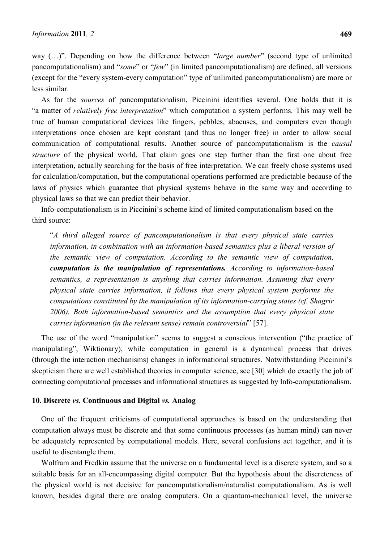way (…)". Depending on how the difference between "*large number*" (second type of unlimited pancomputationalism) and "*some*" or "*few*" (in limited pancomputationalism) are defined, all versions (except for the "every system-every computation" type of unlimited pancomputationalism) are more or less similar.

As for the *sources* of pancomputationalism, Piccinini identifies several. One holds that it is "a matter of *relatively free interpretation*" which computation a system performs. This may well be true of human computational devices like fingers, pebbles, abacuses, and computers even though interpretations once chosen are kept constant (and thus no longer free) in order to allow social communication of computational results. Another source of pancomputationalism is the *causal structure* of the physical world. That claim goes one step further than the first one about free interpretation, actually searching for the basis of free interpretation. We can freely chose systems used for calculation/computation, but the computational operations performed are predictable because of the laws of physics which guarantee that physical systems behave in the same way and according to physical laws so that we can predict their behavior.

Info-computationalism is in Piccinini's scheme kind of limited computationalism based on the third source:

"*A third alleged source of pancomputationalism is that every physical state carries information, in combination with an information-based semantics plus a liberal version of the semantic view of computation. According to the semantic view of computation, computation is the manipulation of representations. According to information-based semantics, a representation is anything that carries information. Assuming that every physical state carries information, it follows that every physical system performs the computations constituted by the manipulation of its information-carrying states (cf. Shagrir 2006). Both information-based semantics and the assumption that every physical state carries information (in the relevant sense) remain controversial*" [57].

The use of the word "manipulation" seems to suggest a conscious intervention ("the practice of manipulating", Wiktionary), while computation in general is a dynamical process that drives (through the interaction mechanisms) changes in informational structures. Notwithstanding Piccinini's skepticism there are well established theories in computer science, see [30] which do exactly the job of connecting computational processes and informational structures as suggested by Info-computationalism.

## **10. Discrete** *vs.* **Continuous and Digital** *vs.* **Analog**

One of the frequent criticisms of computational approaches is based on the understanding that computation always must be discrete and that some continuous processes (as human mind) can never be adequately represented by computational models. Here, several confusions act together, and it is useful to disentangle them.

Wolfram and Fredkin assume that the universe on a fundamental level is a discrete system, and so a suitable basis for an all-encompassing digital computer. But the hypothesis about the discreteness of the physical world is not decisive for pancomputationalism/naturalist computationalism. As is well known, besides digital there are analog computers. On a quantum-mechanical level, the universe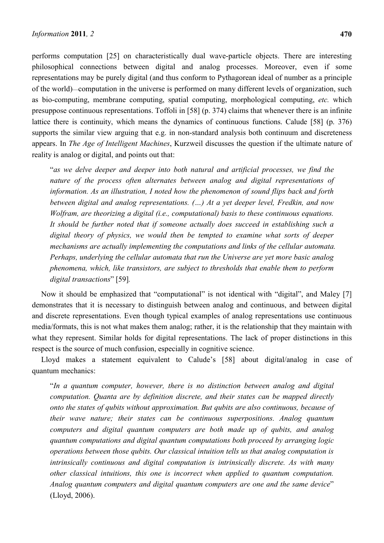performs computation [25] on characteristically dual wave-particle objects. There are interesting philosophical connections between digital and analog processes. Moreover, even if some representations may be purely digital (and thus conform to Pythagorean ideal of number as a principle of the world)—computation in the universe is performed on many different levels of organization, such as bio-computing, membrane computing, spatial computing, morphological computing, *etc.* which presuppose continuous representations. Toffoli in [58] (p. 374) claims that whenever there is an infinite lattice there is continuity, which means the dynamics of continuous functions. Calude [58] (p. 376) supports the similar view arguing that e.g. in non-standard analysis both continuum and discreteness appears. In *The Age of Intelligent Machines*, Kurzweil discusses the question if the ultimate nature of reality is analog or digital, and points out that:

"*as we delve deeper and deeper into both natural and artificial processes, we find the nature of the process often alternates between analog and digital representations of information. As an illustration, I noted how the phenomenon of sound flips back and forth between digital and analog representations. (…) At a yet deeper level, Fredkin, and now Wolfram, are theorizing a digital (i.e., computational) basis to these continuous equations. It should be further noted that if someone actually does succeed in establishing such a digital theory of physics, we would then be tempted to examine what sorts of deeper mechanisms are actually implementing the computations and links of the cellular automata. Perhaps, underlying the cellular automata that run the Universe are yet more basic analog phenomena, which, like transistors, are subject to thresholds that enable them to perform digital transactions*" [59]*.*

Now it should be emphasized that "computational" is not identical with "digital", and Maley [7] demonstrates that it is necessary to distinguish between analog and continuous, and between digital and discrete representations. Even though typical examples of analog representations use continuous media/formats, this is not what makes them analog; rather, it is the relationship that they maintain with what they represent. Similar holds for digital representations. The lack of proper distinctions in this respect is the source of much confusion, especially in cognitive science.

Lloyd makes a statement equivalent to Calude's [58] about digital/analog in case of quantum mechanics:

"*In a quantum computer, however, there is no distinction between analog and digital computation. Quanta are by definition discrete, and their states can be mapped directly onto the states of qubits without approximation. But qubits are also continuous, because of their wave nature; their states can be continuous superpositions. Analog quantum computers and digital quantum computers are both made up of qubits, and analog quantum computations and digital quantum computations both proceed by arranging logic operations between those qubits. Our classical intuition tells us that analog computation is intrinsically continuous and digital computation is intrinsically discrete. As with many other classical intuitions, this one is incorrect when applied to quantum computation. Analog quantum computers and digital quantum computers are one and the same device*" (Lloyd, 2006).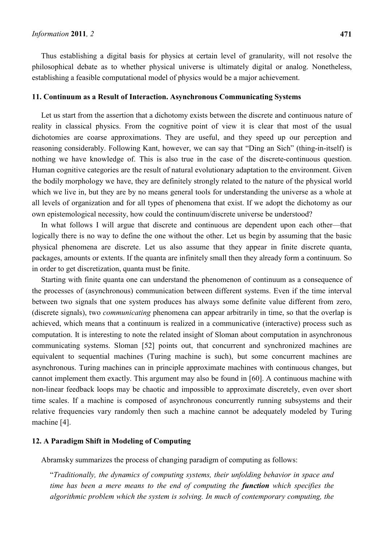Thus establishing a digital basis for physics at certain level of granularity, will not resolve the philosophical debate as to whether physical universe is ultimately digital or analog. Nonetheless, establishing a feasible computational model of physics would be a major achievement.

## **11. Continuum as a Result of Interaction. Asynchronous Communicating Systems**

Let us start from the assertion that a dichotomy exists between the discrete and continuous nature of reality in classical physics. From the cognitive point of view it is clear that most of the usual dichotomies are coarse approximations. They are useful, and they speed up our perception and reasoning considerably. Following Kant, however, we can say that "Ding an Sich" (thing-in-itself) is nothing we have knowledge of. This is also true in the case of the discrete-continuous question. Human cognitive categories are the result of natural evolutionary adaptation to the environment. Given the bodily morphology we have, they are definitely strongly related to the nature of the physical world which we live in, but they are by no means general tools for understanding the universe as a whole at all levels of organization and for all types of phenomena that exist. If we adopt the dichotomy as our own epistemological necessity, how could the continuum/discrete universe be understood?

In what follows I will argue that discrete and continuous are dependent upon each other—that logically there is no way to define the one without the other. Let us begin by assuming that the basic physical phenomena are discrete. Let us also assume that they appear in finite discrete quanta, packages, amounts or extents. If the quanta are infinitely small then they already form a continuum. So in order to get discretization, quanta must be finite.

Starting with finite quanta one can understand the phenomenon of continuum as a consequence of the processes of (asynchronous) communication between different systems. Even if the time interval between two signals that one system produces has always some definite value different from zero, (discrete signals), two *communicating* phenomena can appear arbitrarily in time, so that the overlap is achieved, which means that a continuum is realized in a communicative (interactive) process such as computation. It is interesting to note the related insight of Sloman about computation in asynchronous communicating systems. Sloman [52] points out, that concurrent and synchronized machines are equivalent to sequential machines (Turing machine is such), but some concurrent machines are asynchronous. Turing machines can in principle approximate machines with continuous changes, but cannot implement them exactly. This argument may also be found in [60]. A continuous machine with non-linear feedback loops may be chaotic and impossible to approximate discretely, even over short time scales. If a machine is composed of asynchronous concurrently running subsystems and their relative frequencies vary randomly then such a machine cannot be adequately modeled by Turing machine [4].

## **12. A Paradigm Shift in Modeling of Computing**

Abramsky summarizes the process of changing paradigm of computing as follows:

"*Traditionally, the dynamics of computing systems, their unfolding behavior in space and time has been a mere means to the end of computing the function which specifies the algorithmic problem which the system is solving. In much of contemporary computing, the*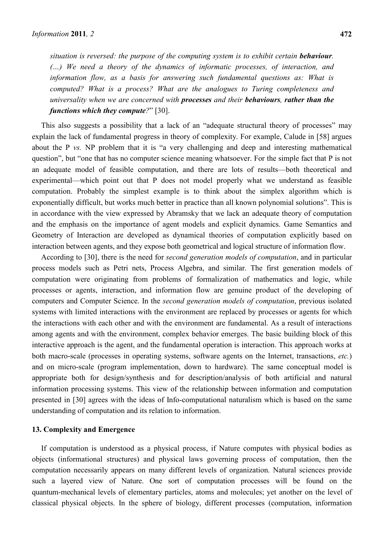*situation is reversed: the purpose of the computing system is to exhibit certain behaviour. (…) We need a theory of the dynamics of informatic processes, of interaction, and information flow, as a basis for answering such fundamental questions as: What is computed? What is a process? What are the analogues to Turing completeness and universality when we are concerned with processes and their behaviours, rather than the functions which they compute?*" [30].

This also suggests a possibility that a lack of an "adequate structural theory of processes" may explain the lack of fundamental progress in theory of complexity. For example, Calude in [58] argues about the P *vs.* NP problem that it is "a very challenging and deep and interesting mathematical question", but "one that has no computer science meaning whatsoever. For the simple fact that P is not an adequate model of feasible computation, and there are lots of results—both theoretical and experimental—which point out that P does not model properly what we understand as feasible computation. Probably the simplest example is to think about the simplex algorithm which is exponentially difficult, but works much better in practice than all known polynomial solutions". This is in accordance with the view expressed by Abramsky that we lack an adequate theory of computation and the emphasis on the importance of agent models and explicit dynamics. Game Semantics and Geometry of Interaction are developed as dynamical theories of computation explicitly based on interaction between agents, and they expose both geometrical and logical structure of information flow.

According to [30], there is the need for *second generation models of computation*, and in particular process models such as Petri nets, Process Algebra, and similar. The first generation models of computation were originating from problems of formalization of mathematics and logic, while processes or agents, interaction, and information flow are genuine product of the developing of computers and Computer Science. In the *second generation models of computation*, previous isolated systems with limited interactions with the environment are replaced by processes or agents for which the interactions with each other and with the environment are fundamental. As a result of interactions among agents and with the environment, complex behavior emerges. The basic building block of this interactive approach is the agent, and the fundamental operation is interaction. This approach works at both macro-scale (processes in operating systems, software agents on the Internet, transactions, *etc.*) and on micro-scale (program implementation, down to hardware). The same conceptual model is appropriate both for design/synthesis and for description/analysis of both artificial and natural information processing systems. This view of the relationship between information and computation presented in [30] agrees with the ideas of Info-computational naturalism which is based on the same understanding of computation and its relation to information.

#### **13. Complexity and Emergence**

If computation is understood as a physical process, if Nature computes with physical bodies as objects (informational structures) and physical laws governing process of computation, then the computation necessarily appears on many different levels of organization. Natural sciences provide such a layered view of Nature. One sort of computation processes will be found on the quantum-mechanical levels of elementary particles, atoms and molecules; yet another on the level of classical physical objects. In the sphere of biology, different processes (computation, information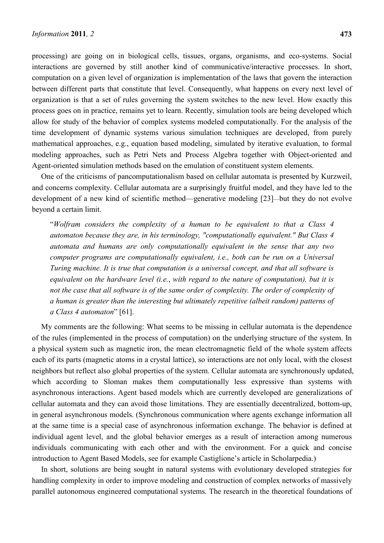processing) are going on in biological cells, tissues, organs, organisms, and eco-systems. Social interactions are governed by still another kind of communicative/interactive processes. In short, computation on a given level of organization is implementation of the laws that govern the interaction between different parts that constitute that level. Consequently, what happens on every next level of organization is that a set of rules governing the system switches to the new level. How exactly this process goes on in practice, remains yet to learn. Recently, simulation tools are being developed which allow for study of the behavior of complex systems modeled computationally. For the analysis of the time development of dynamic systems various simulation techniques are developed, from purely mathematical approaches, e.g., equation based modeling, simulated by iterative evaluation, to formal modeling approaches, such as Petri Nets and Process Algebra together with Object-oriented and Agent-oriented simulation methods based on the emulation of constituent system elements.

One of the criticisms of pancomputationalism based on cellular automata is presented by Kurzweil, and concerns complexity. Cellular automata are a surprisingly fruitful model, and they have led to the development of a new kind of scientific method—generative modeling [23]—but they do not evolve beyond a certain limit.

"*Wolfram considers the complexity of a human to be equivalent to that a Class 4 automaton because they are, in his terminology, "computationally equivalent." But Class 4 automata and humans are only computationally equivalent in the sense that any two computer programs are computationally equivalent, i.e., both can be run on a Universal Turing machine. It is true that computation is a universal concept, and that all software is equivalent on the hardware level (i.e.*, *with regard to the nature of computation), but it is not the case that all software is of the same order of complexity. The order of complexity of a human is greater than the interesting but ultimately repetitive (albeit random) patterns of a Class 4 automaton*" [61].

My comments are the following: What seems to be missing in cellular automata is the dependence of the rules (implemented in the process of computation) on the underlying structure of the system. In a physical system such as magnetic iron, the mean electromagnetic field of the whole system affects each of its parts (magnetic atoms in a crystal lattice), so interactions are not only local, with the closest neighbors but reflect also global properties of the system. Cellular automata are synchronously updated, which according to Sloman makes them computationally less expressive than systems with asynchronous interactions. Agent based models which are currently developed are generalizations of cellular automata and they can avoid those limitations. They are essentially decentralized, bottom-up, in general asynchronous models. (Synchronous communication where agents exchange information all at the same time is a special case of asynchronous information exchange. The behavior is defined at individual agent level, and the global behavior emerges as a result of interaction among numerous individuals communicating with each other and with the environment. For a quick and concise introduction to Agent Based Models, see for example Castiglione's article in Scholarpedia.)

In short, solutions are being sought in natural systems with evolutionary developed strategies for handling complexity in order to improve modeling and construction of complex networks of massively parallel autonomous engineered computational systems. The research in the theoretical foundations of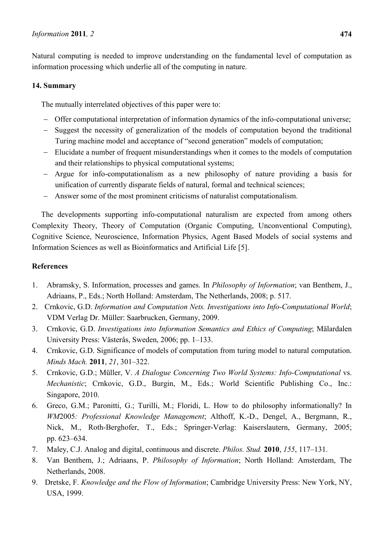Natural computing is needed to improve understanding on the fundamental level of computation as information processing which underlie all of the computing in nature.

# **14. Summary**

The mutually interrelated objectives of this paper were to:

- − Offer computational interpretation of information dynamics of the info-computational universe;
- − Suggest the necessity of generalization of the models of computation beyond the traditional Turing machine model and acceptance of "second generation" models of computation;
- − Elucidate a number of frequent misunderstandings when it comes to the models of computation and their relationships to physical computational systems;
- − Argue for info-computationalism as a new philosophy of nature providing a basis for unification of currently disparate fields of natural, formal and technical sciences;
- − Answer some of the most prominent criticisms of naturalist computationalism.

The developments supporting info-computational naturalism are expected from among others Complexity Theory, Theory of Computation (Organic Computing, Unconventional Computing), Cognitive Science, Neuroscience, Information Physics, Agent Based Models of social systems and Information Sciences as well as Bioinformatics and Artificial Life [5].

# **References**

- 1. Abramsky, S. Information, processes and games. In *Philosophy of Information*; van Benthem, J., Adriaans, P., Eds.; North Holland: Amsterdam, The Netherlands, 2008; p. 517.
- 2. Crnkovic, G.D. *Information and Computation Nets. Investigations into Info-Computational World*; VDM Verlag Dr. Müller: Saarbrucken, Germany, 2009.
- 3. Crnkovic, G.D. *Investigations into Information Semantics and Ethics of Computing*; Mälardalen University Press: Västerås, Sweden, 2006; pp. 1–133.
- 4. Crnkovic, G.D. Significance of models of computation from turing model to natural computation. *Minds Mach.* **2011**, *21*, 301–322.
- 5. Crnkovic, G.D.; Müller, V. *A Dialogue Concerning Two World Systems: Info-Computational* vs. *Mechanistic*; Crnkovic, G.D., Burgin, M., Eds.; World Scientific Publishing Co., Inc.: Singapore, 2010.
- 6. Greco, G.M.; Paronitti, G.; Turilli, M.; Floridi, L. How to do philosophy informationally? In *WM*2005*: Professional Knowledge Management*; Althoff, K.-D., Dengel, A., Bergmann, R., Nick, M., Roth-Berghofer, T., Eds.; Springer-Verlag: Kaiserslautern, Germany, 2005; pp. 623–634.
- 7. Maley, C.J. Analog and digital, continuous and discrete. *Philos. Stud.* **2010**, *155*, 117–131.
- 8. Van Benthem, J.; Adriaans, P. *Philosophy of Information*; North Holland: Amsterdam, The Netherlands, 2008.
- 9. Dretske, F. *Knowledge and the Flow of Information*; Cambridge University Press: New York, NY, USA, 1999.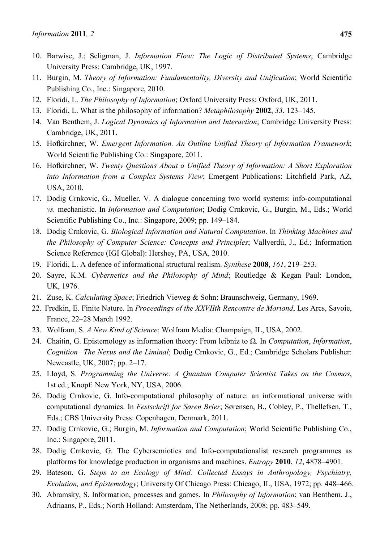- 10. Barwise, J.; Seligman, J. *Information Flow: The Logic of Distributed Systems*; Cambridge University Press: Cambridge, UK, 1997.
- 11. Burgin, M. *Theory of Information: Fundamentality, Diversity and Unification*; World Scientific Publishing Co., Inc.: Singapore, 2010.
- 12. Floridi, L. *The Philosophy of Information*; Oxford University Press: Oxford, UK, 2011.
- 13. Floridi, L. What is the philosophy of information? *Metaphilosophy* **2002**, *33*, 123–145.
- 14. Van Benthem, J. *Logical Dynamics of Information and Interaction*; Cambridge University Press: Cambridge, UK, 2011.
- 15. Hofkirchner, W. *Emergent Information. An Outline Unified Theory of Information Framework*; World Scientific Publishing Co.: Singapore, 2011.
- 16. Hofkirchner, W. *Twenty Questions About a Unified Theory of Information: A Short Exploration into Information from a Complex Systems View*; Emergent Publications: Litchfield Park, AZ, USA, 2010.
- 17. Dodig Crnkovic, G., Mueller, V. A dialogue concerning two world systems: info-computational *vs.* mechanistic. In *Information and Computation*; Dodig Crnkovic, G., Burgin, M., Eds.; World Scientific Publishing Co., Inc.: Singapore, 2009; pp. 149–184.
- 18. Dodig Crnkovic, G. *Biological Information and Natural Computation*. In *Thinking Machines and the Philosophy of Computer Science: Concepts and Principles*; Vallverdú, J., Ed.; Information Science Reference (IGI Global): Hershey, PA, USA, 2010.
- 19. Floridi, L. A defence of informational structural realism. *Synthese* **2008**, *161*, 219–253.
- 20. Sayre, K.M. *Cybernetics and the Philosophy of Mind*; Routledge & Kegan Paul: London, UK, 1976.
- 21. Zuse, K. *Calculating Space*; Friedrich Vieweg & Sohn: Braunschweig, Germany, 1969.
- 22. Fredkin, E. Finite Nature. In *Proceedings of the XXVIIth Rencontre de Moriond*, Les Arcs, Savoie, France, 22–28 March 1992.
- 23. Wolfram, S. *A New Kind of Science*; Wolfram Media: Champaign, IL, USA, 2002.
- 24. Chaitin, G. Epistemology as information theory: From leibniz to Ω. In *Computation*, *Information*, *Cognition*—*The Nexus and the Liminal*; Dodig Crnkovic, G., Ed.; Cambridge Scholars Publisher: Newcastle, UK, 2007; pp. 2–17.
- 25. Lloyd, S. *Programming the Universe: A Quantum Computer Scientist Takes on the Cosmos*, 1st ed.; Knopf: New York, NY, USA, 2006.
- 26. Dodig Crnkovic, G. Info-computational philosophy of nature: an informational universe with computational dynamics. In *Festschrift for Søren Brier*; Sørensen, B., Cobley, P., Thellefsen, T., Eds.; CBS University Press: Copenhagen, Denmark, 2011.
- 27. Dodig Crnkovic, G.; Burgin, M. *Information and Computation*; World Scientific Publishing Co., Inc.: Singapore, 2011.
- 28. Dodig Crnkovic, G. The Cybersemiotics and Info-computationalist research programmes as platforms for knowledge production in organisms and machines. *Entropy* **2010**, *12*, 4878–4901.
- 29. Bateson, G. *Steps to an Ecology of Mind: Collected Essays in Anthropology, Psychiatry, Evolution, and Epistemology*; University Of Chicago Press: Chicago, IL, USA, 1972; pp. 448–466.
- 30. Abramsky, S. Information, processes and games. In *Philosophy of Information*; van Benthem, J., Adriaans, P., Eds.; North Holland: Amsterdam, The Netherlands, 2008; pp. 483–549.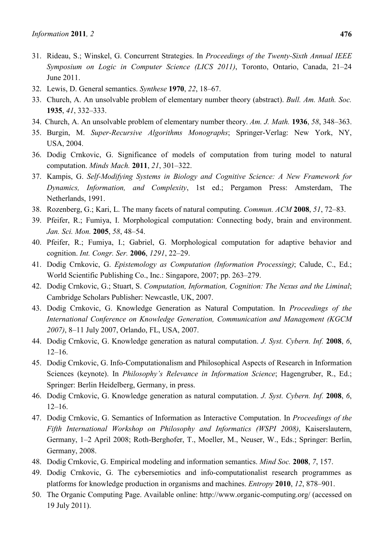- 31. Rideau, S.; Winskel, G. Concurrent Strategies. In *Proceedings of the Twenty-Sixth Annual IEEE Symposium on Logic in Computer Science (LICS 2011)*, Toronto, Ontario, Canada, 21–24 June 2011.
- 32. Lewis, D. General semantics. *Synthese* **1970**, *22*, 18–67.
- 33. Church, A. An unsolvable problem of elementary number theory (abstract). *Bull. Am. Math. Soc.* **1935**, *41*, 332–333.
- 34. Church, A. An unsolvable problem of elementary number theory. *Am. J. Math.* **1936**, *58*, 348–363.
- 35. Burgin, M. *Super-Recursive Algorithms Monographs*; Springer-Verlag: New York, NY, USA, 2004.
- 36. Dodig Crnkovic, G. Significance of models of computation from turing model to natural computation. *Minds Mach.* **2011**, *21*, 301–322.
- 37. Kampis, G. *Self-Modifying Systems in Biology and Cognitive Science: A New Framework for Dynamics, Information, and Complexity*, 1st ed.; Pergamon Press: Amsterdam, The Netherlands, 1991.
- 38. Rozenberg, G.; Kari, L. The many facets of natural computing. *Commun. ACM* **2008**, *51*, 72–83.
- 39. Pfeifer, R.; Fumiya, I. Morphological computation: Connecting body, brain and environment. *Jan. Sci. Mon.* **2005**, *58*, 48–54.
- 40. Pfeifer, R.; Fumiya, I.; Gabriel, G. Morphological computation for adaptive behavior and cognition. *Int. Congr. Ser.* **2006**, *1291*, 22–29.
- 41. Dodig Crnkovic, G. *Epistemology as Computation (Information Processing)*; Calude, C., Ed.; World Scientific Publishing Co., Inc.: Singapore, 2007; pp. 263–279.
- 42. Dodig Crnkovic, G.; Stuart, S. *Computation, Information, Cognition: The Nexus and the Liminal*; Cambridge Scholars Publisher: Newcastle, UK, 2007.
- 43. Dodig Crnkovic, G. Knowledge Generation as Natural Computation. In *Proceedings of the International Conference on Knowledge Generation, Communication and Management (KGCM 2007)*, 8–11 July 2007, Orlando, FL, USA, 2007.
- 44. Dodig Crnkovic, G. Knowledge generation as natural computation. *J. Syst. Cybern. Inf.* **2008**, *6*,  $12-16$ .
- 45. Dodig Crnkovic, G. Info-Computationalism and Philosophical Aspects of Research in Information Sciences (keynote). In *Philosophy's Relevance in Information Science*; Hagengruber, R., Ed.; Springer: Berlin Heidelberg, Germany, in press.
- 46. Dodig Crnkovic, G. Knowledge generation as natural computation. *J. Syst. Cybern. Inf.* **2008**, *6*, 12–16.
- 47. Dodig Crnkovic, G. Semantics of Information as Interactive Computation. In *Proceedings of the Fifth International Workshop on Philosophy and Informatics (WSPI 2008)*, Kaiserslautern, Germany, 1–2 April 2008; Roth-Berghofer, T., Moeller, M., Neuser, W., Eds.; Springer: Berlin, Germany, 2008.
- 48. Dodig Crnkovic, G. Empirical modeling and information semantics. *Mind Soc.* **2008**, *7*, 157.
- 49. Dodig Crnkovic, G. The cybersemiotics and info-computationalist research programmes as platforms for knowledge production in organisms and machines. *Entropy* **2010**, *12*, 878–901.
- 50. The Organic Computing Page. Available online: http://www.organic-computing.org/ (accessed on 19 July 2011).